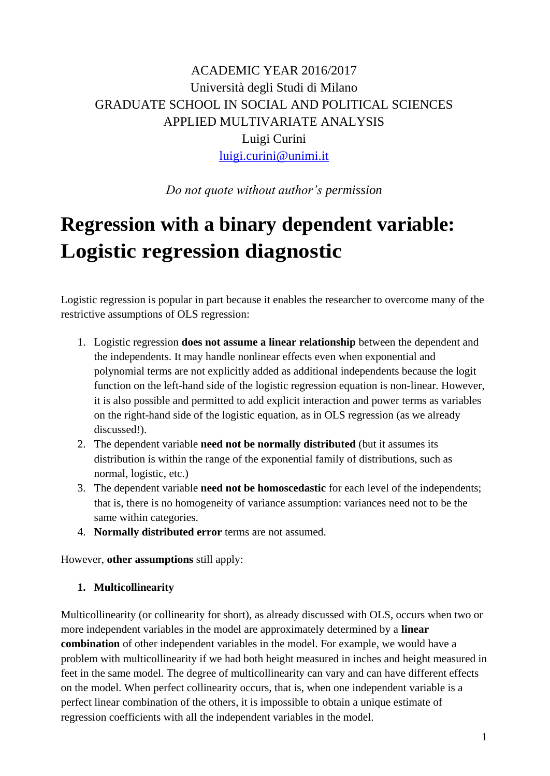# ACADEMIC YEAR 2016/2017 Università degli Studi di Milano GRADUATE SCHOOL IN SOCIAL AND POLITICAL SCIENCES APPLIED MULTIVARIATE ANALYSIS Luigi Curini [luigi.curini@unimi.it](mailto:luigi.curini@unimi.it)

*Do not quote without author's permission*

# **Regression with a binary dependent variable: Logistic regression diagnostic**

Logistic regression is popular in part because it enables the researcher to overcome many of the restrictive assumptions of OLS regression:

- 1. Logistic regression **does not assume a linear relationship** between the dependent and the independents. It may handle nonlinear effects even when exponential and polynomial terms are not explicitly added as additional independents because the logit function on the left-hand side of the logistic regression equation is non-linear. However, it is also possible and permitted to add explicit interaction and power terms as variables on the right-hand side of the logistic equation, as in OLS regression (as we already discussed!).
- 2. The dependent variable **need not be normally distributed** (but it assumes its distribution is within the range of the exponential family of distributions, such as normal, logistic, etc.)
- 3. The dependent variable **need not be homoscedastic** for each level of the independents; that is, there is no homogeneity of variance assumption: variances need not to be the same within categories.
- 4. **Normally distributed error** terms are not assumed.

However, **other assumptions** still apply:

# **1. Multicollinearity**

Multicollinearity (or collinearity for short), as already discussed with OLS, occurs when two or more independent variables in the model are approximately determined by a **linear combination** of other independent variables in the model. For example, we would have a problem with multicollinearity if we had both height measured in inches and height measured in feet in the same model. The degree of multicollinearity can vary and can have different effects on the model. When perfect collinearity occurs, that is, when one independent variable is a perfect linear combination of the others, it is impossible to obtain a unique estimate of regression coefficients with all the independent variables in the model.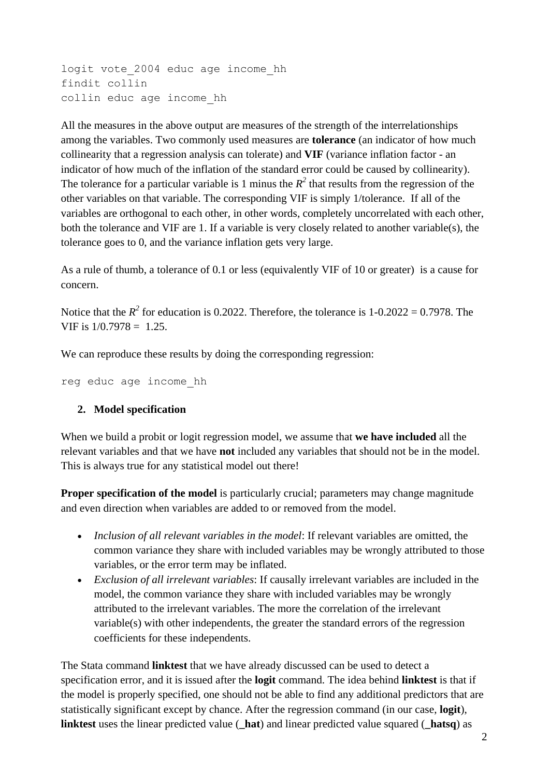```
logit vote_2004 educ age income_hh
findit collin
collin educ age income_hh
```
All the measures in the above output are measures of the strength of the interrelationships among the variables. Two commonly used measures are **tolerance** (an indicator of how much collinearity that a regression analysis can tolerate) and **VIF** (variance inflation factor - an indicator of how much of the inflation of the standard error could be caused by collinearity). The tolerance for a particular variable is 1 minus the  $R^2$  that results from the regression of the other variables on that variable. The corresponding VIF is simply 1/tolerance. If all of the variables are orthogonal to each other, in other words, completely uncorrelated with each other, both the tolerance and VIF are 1. If a variable is very closely related to another variable(s), the tolerance goes to 0, and the variance inflation gets very large.

As a rule of thumb, a tolerance of 0.1 or less (equivalently VIF of 10 or greater) is a cause for concern.

Notice that the  $R^2$  for education is 0.2022. Therefore, the tolerance is  $1\n-0.2022 = 0.7978$ . The VIF is  $1/0.7978 = 1.25$ .

We can reproduce these results by doing the corresponding regression:

reg educ age income\_hh

#### **2. Model specification**

When we build a probit or logit regression model, we assume that **we have included** all the relevant variables and that we have **not** included any variables that should not be in the model. This is always true for any statistical model out there!

**Proper specification of the model** is particularly crucial; parameters may change magnitude and even direction when variables are added to or removed from the model.

- *Inclusion of all relevant variables in the model*: If relevant variables are omitted, the common variance they share with included variables may be wrongly attributed to those variables, or the error term may be inflated.
- *Exclusion of all irrelevant variables*: If causally irrelevant variables are included in the model, the common variance they share with included variables may be wrongly attributed to the irrelevant variables. The more the correlation of the irrelevant variable(s) with other independents, the greater the standard errors of the regression coefficients for these independents.

The Stata command **linktest** that we have already discussed can be used to detect a specification error, and it is issued after the **logit** command. The idea behind **linktest** is that if the model is properly specified, one should not be able to find any additional predictors that are statistically significant except by chance. After the regression command (in our case, **logit**), **linktest** uses the linear predicted value (**\_hat**) and linear predicted value squared (**\_hatsq**) as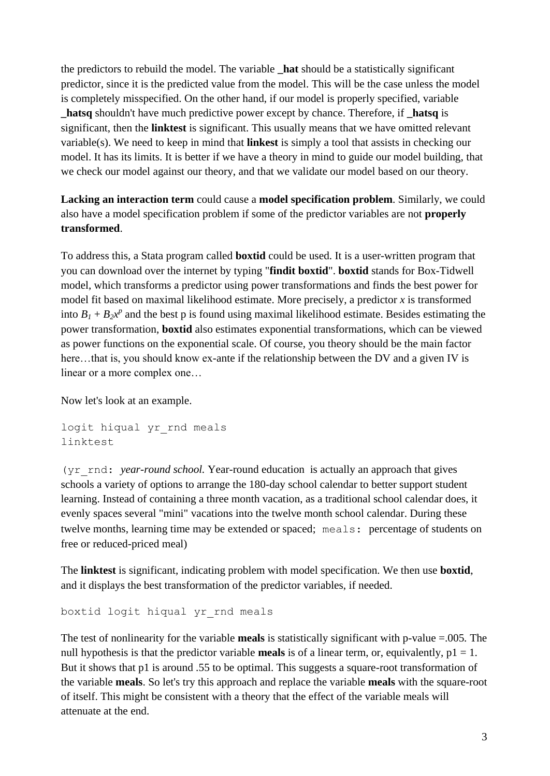the predictors to rebuild the model. The variable **\_hat** should be a statistically significant predictor, since it is the predicted value from the model. This will be the case unless the model is completely misspecified. On the other hand, if our model is properly specified, variable **\_hatsq** shouldn't have much predictive power except by chance. Therefore, if **\_hatsq** is significant, then the **linktest** is significant. This usually means that we have omitted relevant variable(s). We need to keep in mind that **linkest** is simply a tool that assists in checking our model. It has its limits. It is better if we have a theory in mind to guide our model building, that we check our model against our theory, and that we validate our model based on our theory.

**Lacking an interaction term** could cause a **model specification problem**. Similarly, we could also have a model specification problem if some of the predictor variables are not **properly transformed**.

To address this, a Stata program called **boxtid** could be used. It is a user-written program that you can download over the internet by typing "**findit boxtid**". **boxtid** stands for Box-Tidwell model, which transforms a predictor using power transformations and finds the best power for model fit based on maximal likelihood estimate. More precisely, a predictor *x* is transformed into  $B_1 + B_2 x^p$  and the best p is found using maximal likelihood estimate. Besides estimating the power transformation, **boxtid** also estimates exponential transformations, which can be viewed as power functions on the exponential scale. Of course, you theory should be the main factor here...that is, you should know ex-ante if the relationship between the DV and a given IV is linear or a more complex one…

Now let's look at an example.

```
logit hiqual yr rnd meals
linktest
```
(yr rnd: *year-round school.* Year-round education is actually an approach that gives schools a variety of options to arrange the 180-day school calendar to better support student learning. Instead of containing a three month vacation, as a traditional school calendar does, it evenly spaces several "mini" vacations into the twelve month school calendar. During these twelve months, learning time may be extended or spaced; meals: percentage of students on free or reduced-priced meal)

The **linktest** is significant, indicating problem with model specification. We then use **boxtid**, and it displays the best transformation of the predictor variables, if needed.

```
boxtid logit hiqual yr_rnd meals
```
The test of nonlinearity for the variable **meals** is statistically significant with p-value =.005*.* The null hypothesis is that the predictor variable **meals** is of a linear term, or, equivalently,  $p1 = 1$ . But it shows that p1 is around .55 to be optimal. This suggests a square-root transformation of the variable **meals**. So let's try this approach and replace the variable **meals** with the square-root of itself. This might be consistent with a theory that the effect of the variable meals will attenuate at the end.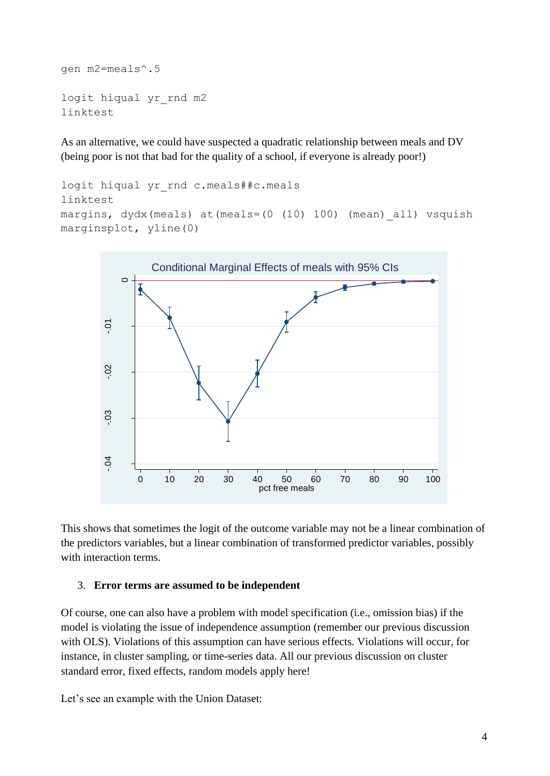```
gen m2=meals^.5
logit hiqual yr_rnd m2
linktest
```
As an alternative, we could have suspected a quadratic relationship between meals and DV (being poor is not that bad for the quality of a school, if everyone is already poor!)

```
logit hiqual yr rnd c.meals##c.meals
linktest
margins, dydx(meals) at(meals=(0 (10) 100) (mean)_all) vsquish
marginsplot, yline(0)
```


This shows that sometimes the logit of the outcome variable may not be a linear combination of the predictors variables, but a linear combination of transformed predictor variables, possibly with interaction terms.

#### 3. **Error terms are assumed to be independent**

Of course, one can also have a problem with model specification (i.e., omission bias) if the model is violating the issue of independence assumption (remember our previous discussion with OLS). Violations of this assumption can have serious effects. Violations will occur, for instance, in cluster sampling, or time-series data. All our previous discussion on cluster standard error, fixed effects, random models apply here!

Let's see an example with the Union Dataset: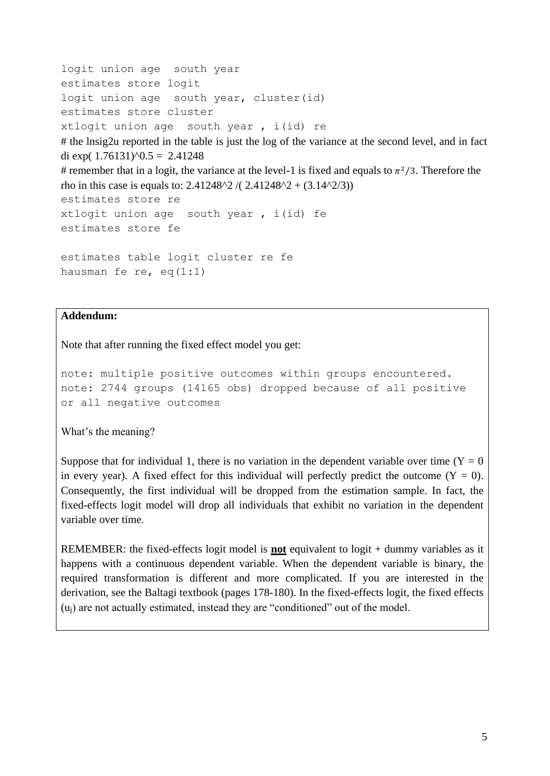```
logit union age south year
estimates store logit
logit union age south year, cluster(id)
estimates store cluster
xtlogit union age south year , i(id) re
# the lnsig2u reported in the table is just the log of the variance at the second level, and in fact 
di exp(1.76131)^{0.5} = 2.41248# remember that in a logit, the variance at the level-1 is fixed and equals to \pi^2/3. Therefore the
rho in this case is equals to: 2.41248^{\circ}2 / (2.41248^{\circ}2 + (3.14^{\circ}2/3))estimates store re
xtlogit union age south year , i(id) fe
estimates store fe
estimates table logit cluster re fe
hausman fe re, eq(1:1)
```
#### **Addendum:**

Note that after running the fixed effect model you get:

```
note: multiple positive outcomes within groups encountered.
note: 2744 groups (14165 obs) dropped because of all positive 
or all negative outcomes
```
What's the meaning?

Suppose that for individual 1, there is no variation in the dependent variable over time ( $Y = 0$ ) in every year). A fixed effect for this individual will perfectly predict the outcome  $(Y = 0)$ . Consequently, the first individual will be dropped from the estimation sample. In fact, the fixed-effects logit model will drop all individuals that exhibit no variation in the dependent variable over time.

REMEMBER: the fixed-effects logit model is **not** equivalent to logit + dummy variables as it happens with a continuous dependent variable. When the dependent variable is binary, the required transformation is different and more complicated. If you are interested in the derivation, see the Baltagi textbook (pages 178-180). In the fixed-effects logit, the fixed effects (uj) are not actually estimated, instead they are "conditioned" out of the model.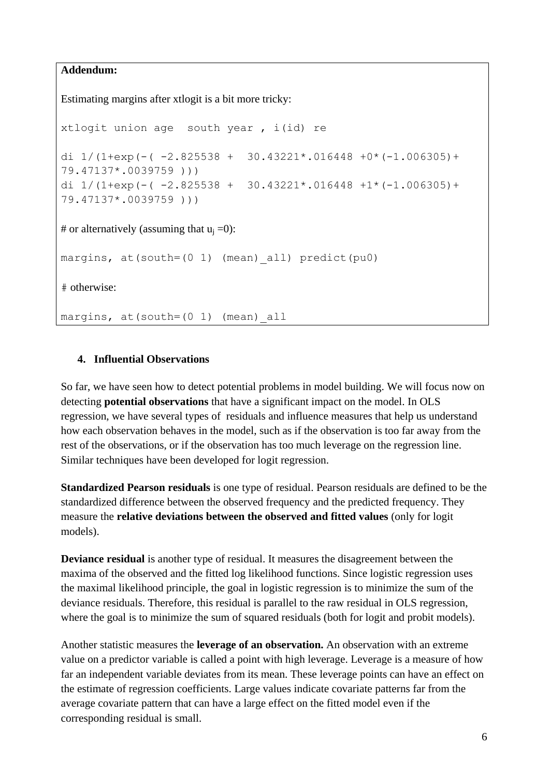#### **Addendum:**

Estimating margins after xtlogit is a bit more tricky:

```
xtlogit union age south year , i(id) re
di 1/(1+exp(-(-2.825538 + 30.43221*.016448 +0*(-1.006305)+79.47137*.0039759 )))
di 1/(1+exp(-(-2.825538 + 30.43221*.016448 + 1*(-1.006305)) +79.47137*.0039759 )))
# or alternatively (assuming that u_i = 0):
margins, at(south=(0 1) (mean) all) predict(pu0)
# otherwise:
margins, at(south=(0 1) (mean)_all
```
#### **4. Influential Observations**

So far, we have seen how to detect potential problems in model building. We will focus now on detecting **potential observations** that have a significant impact on the model. In OLS regression, we have several types of residuals and influence measures that help us understand how each observation behaves in the model, such as if the observation is too far away from the rest of the observations, or if the observation has too much leverage on the regression line. Similar techniques have been developed for logit regression.

**Standardized Pearson residuals** is one type of residual. Pearson residuals are defined to be the standardized difference between the observed frequency and the predicted frequency. They measure the **relative deviations between the observed and fitted values** (only for logit models).

**Deviance residual** is another type of residual. It measures the disagreement between the maxima of the observed and the fitted log likelihood functions. Since logistic regression uses the maximal likelihood principle, the goal in logistic regression is to minimize the sum of the deviance residuals. Therefore, this residual is parallel to the raw residual in OLS regression, where the goal is to minimize the sum of squared residuals (both for logit and probit models).

Another statistic measures the **leverage of an observation.** An observation with an extreme value on a predictor variable is called a point with high leverage. Leverage is a measure of how far an independent variable deviates from its mean. These leverage points can have an effect on the estimate of regression coefficients. Large values indicate covariate patterns far from the average covariate pattern that can have a large effect on the fitted model even if the corresponding residual is small.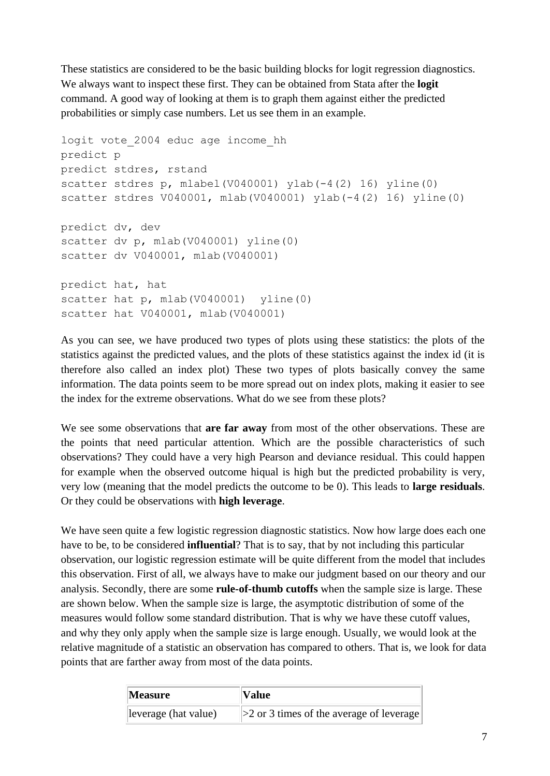These statistics are considered to be the basic building blocks for logit regression diagnostics. We always want to inspect these first. They can be obtained from Stata after the **logit** command. A good way of looking at them is to graph them against either the predicted probabilities or simply case numbers. Let us see them in an example.

```
logit vote_2004 educ age income_hh
predict p
predict stdres, rstand
scatter stdres p, mlabel(V040001) ylab(-4(2) 16) yline(0)
scatter stdres V040001, mlab(V040001) ylab(-4(2) 16) yline(0)
predict dv, dev
scatter dv p, mlab(V040001) yline(0)
scatter dv V040001, mlab(V040001) 
predict hat, hat
scatter hat p, mlab(V040001) yline(0)
scatter hat V040001, mlab(V040001)
```
As you can see, we have produced two types of plots using these statistics: the plots of the statistics against the predicted values, and the plots of these statistics against the index id (it is therefore also called an index plot) These two types of plots basically convey the same information. The data points seem to be more spread out on index plots, making it easier to see the index for the extreme observations. What do we see from these plots?

We see some observations that **are far away** from most of the other observations. These are the points that need particular attention. Which are the possible characteristics of such observations? They could have a very high Pearson and deviance residual. This could happen for example when the observed outcome hiqual is high but the predicted probability is very, very low (meaning that the model predicts the outcome to be 0). This leads to **large residuals**. Or they could be observations with **high leverage**.

We have seen quite a few logistic regression diagnostic statistics. Now how large does each one have to be, to be considered **influential**? That is to say, that by not including this particular observation, our logistic regression estimate will be quite different from the model that includes this observation. First of all, we always have to make our judgment based on our theory and our analysis. Secondly, there are some **rule-of-thumb cutoffs** when the sample size is large. These are shown below. When the sample size is large, the asymptotic distribution of some of the measures would follow some standard distribution. That is why we have these cutoff values, and why they only apply when the sample size is large enough. Usually, we would look at the relative magnitude of a statistic an observation has compared to others. That is, we look for data points that are farther away from most of the data points.

| <b>Measure</b>       | <b>Value</b>                                   |
|----------------------|------------------------------------------------|
| leverage (hat value) | $\geq$ 2 or 3 times of the average of leverage |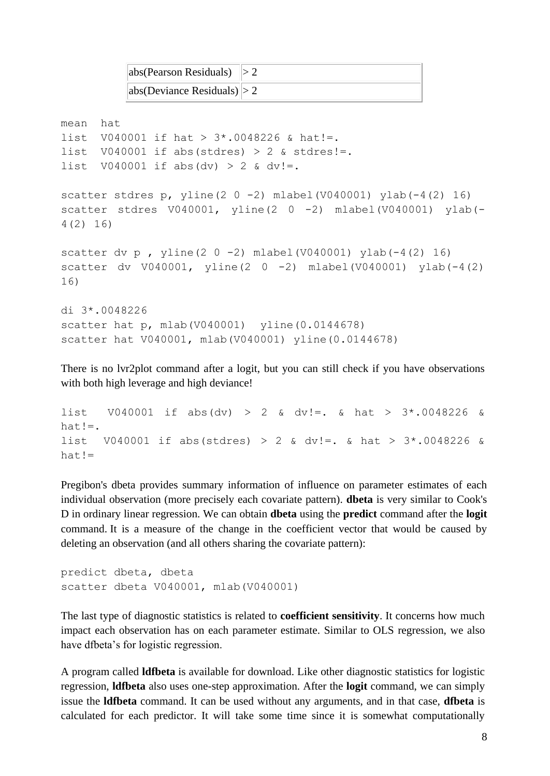| $ \text{abs}(\text{Pearson Residuals})  > 2$ |  |
|----------------------------------------------|--|
| abs(Deviance Residuals)  > 2                 |  |

```
mean hat
list V040001 if hat > 3*.0048226 & hat!=.
list V040001 if abs(stdres) > 2 & stdres!=.
list V040001 if abs(dv) > 2 & dv!=.
scatter stdres p, yline(2 0 -2) mlabel(V040001) ylab(-4(2) 16)
scatter stdres V040001, yline(2 0 -2) mlabel(V040001) ylab(-
4(2) 16) 
scatter dv p , yline(2 0 -2) mlabel(V040001) ylab(-4(2) 16) 
scatter dv V040001, V1ine(2 0 -2) mlabel(V040001) vlab(-4(2)16) 
di 3*.0048226
scatter hat p, mlab(V040001) yline(0.0144678)
scatter hat V040001, mlab(V040001) yline(0.0144678)
```
There is no lvr2plot command after a logit, but you can still check if you have observations with both high leverage and high deviance!

```
list V040001 if abs(dv) > 2 & dv!=. & hat > 3*.0048226 &
hat!=.
list V040001 if abs(stdres) > 2 & dv!=. & hat > 3*.0048226 &
hat!=
```
Pregibon's dbeta provides summary information of influence on parameter estimates of each individual observation (more precisely each covariate pattern). **dbeta** is very similar to Cook's D in ordinary linear regression. We can obtain **dbeta** using the **predict** command after the **logit** command. It is a measure of the change in the coefficient vector that would be caused by deleting an observation (and all others sharing the covariate pattern):

```
predict dbeta, dbeta
scatter dbeta V040001, mlab(V040001)
```
The last type of diagnostic statistics is related to **coefficient sensitivity**. It concerns how much impact each observation has on each parameter estimate. Similar to OLS regression, we also have dfbeta's for logistic regression.

A program called **ldfbeta** is available for download. Like other diagnostic statistics for logistic regression, **ldfbeta** also uses one-step approximation. After the **logit** command, we can simply issue the **ldfbeta** command. It can be used without any arguments, and in that case, **dfbeta** is calculated for each predictor. It will take some time since it is somewhat computationally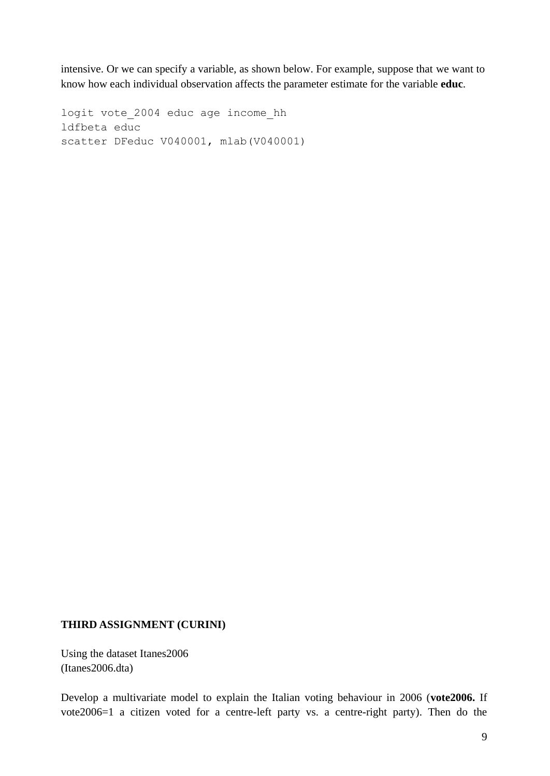intensive. Or we can specify a variable, as shown below. For example, suppose that we want to know how each individual observation affects the parameter estimate for the variable **educ**.

logit vote\_2004 educ age income\_hh ldfbeta educ scatter DFeduc V040001, mlab(V040001)

# **THIRD ASSIGNMENT (CURINI)**

Using the dataset Itanes2006 (Itanes2006.dta)

Develop a multivariate model to explain the Italian voting behaviour in 2006 (**vote2006.** If vote2006=1 a citizen voted for a centre-left party vs. a centre-right party). Then do the